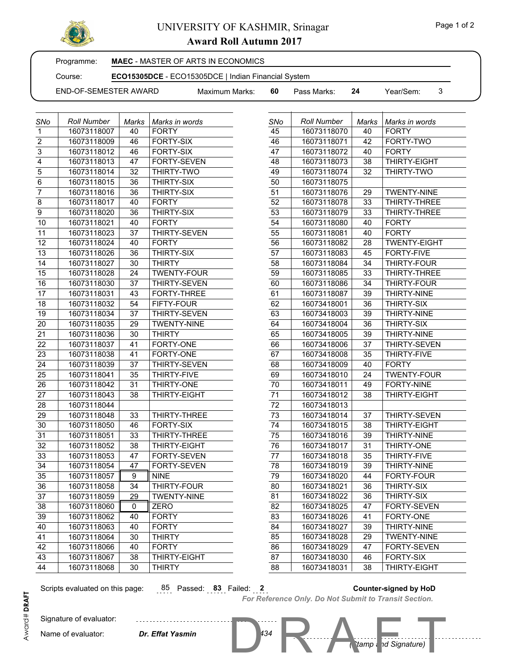

## UNIVERSITY OF KASHMIR, Srinagar

**Award Roll Autumn 2017**

Programme:

**MAEC** - MASTER OF ARTS IN ECONOMICS

Course: **ECO15305DCE** - ECO15305DCE | Indian Financial System

END-OF-SEMESTER AWARD

17 | 16073118031 | 43 | FORTY-THREE 18 | 16073118032 | 54 | FIFTY-FOUR 19 16073118034 37 THIRTY-SEVEN 20 | 16073118035 | 29 | TWENTY-NINE 21 | 16073118036 | 30 | THIRTY 22 16073118037 41 FORTY-ONE 23 | 16073118038 | 41 | FORTY-ONE 24 | 16073118039 | 37 | THIRTY-SEVEN 25 16073118041 35 THIRTY-FIVE 26 | 16073118042 | 31 | THIRTY-ONE 27 | 16073118043 | 38 | THIRTY-EIGHT

29 | 16073118048 | 33 | THIRTY-THREE 30 16073118050 46 FORTY-SIX 31 | 16073118051 | 33 | THIRTY-THREE 32 16073118052 38 THIRTY-EIGHT 33 | 16073118053 | 47 | FORTY-SEVEN 34 16073118054 47 FORTY-SEVEN

 36 16073118058 34 THIRTY-FOUR 37 16073118059 29 TWENTY-NINE

 43 16073118067 38 THIRTY-EIGHT 44 16073118068 30 THIRTY

35 | 16073118057 | 9 | NINE

38 | 16073118060 | 0 | ZERO 39 | 16073118062 | 40 | FORTY 40 16073118063 40 FORTY 41 16073118064 30 THIRTY 42 | 16073118066 | 40 | FORTY

Maximum Marks: **60** Pass Marks: **24** Year/Sem: 3

| <b>SNo</b>        | <b>Roll Number</b> | Marks | Marks in words     | SNo | <b>Roll Number</b> | Marks | Marks in words     |
|-------------------|--------------------|-------|--------------------|-----|--------------------|-------|--------------------|
| $\mathbf{1}$      | 16073118007        | 40    | <b>FORTY</b>       | 45  | 16073118070        | 40    | <b>FORTY</b>       |
| $\overline{2}$    | 16073118009        | 46    | <b>FORTY-SIX</b>   | 46  | 16073118071        | 42    | FORTY-TWO          |
| $\overline{3}$    | 16073118012        | 46    | <b>FORTY-SIX</b>   | 47  | 16073118072        | 40    | <b>FORTY</b>       |
| $\overline{4}$    | 16073118013        | 47    | <b>FORTY-SEVEN</b> | 48  | 16073118073        | 38    | THIRTY-EIGHT       |
| $\overline{5}$    | 16073118014        | 32    | THIRTY-TWO         | 49  | 16073118074        | 32    | THIRTY-TWO         |
| $\overline{6}$    | 16073118015        | 36    | <b>THIRTY-SIX</b>  | 50  | 16073118075        |       |                    |
| $\overline{7}$    | 16073118016        | 36    | THIRTY-SIX         | 51  | 16073118076        | 29    | <b>TWENTY-NINE</b> |
| $\overline{8}$    | 16073118017        | 40    | <b>FORTY</b>       | 52  | 16073118078        | 33    | <b>THIRTY-THRE</b> |
| $\overline{9}$    | 16073118020        | 36    | <b>THIRTY-SIX</b>  | 53  | 16073118079        | 33    | <b>THIRTY-THRE</b> |
| 10                | 16073118021        | 40    | <b>FORTY</b>       | 54  | 16073118080        | 40    | <b>FORTY</b>       |
| 11                | 16073118023        | 37    | THIRTY-SEVEN       | 55  | 16073118081        | 40    | <b>FORTY</b>       |
| $12 \overline{ }$ | 16073118024        | 40    | <b>FORTY</b>       | 56  | 16073118082        | 28    | <b>TWENTY-EIGH</b> |
| 13                | 16073118026        | 36    | <b>THIRTY-SIX</b>  | 57  | 16073118083        | 45    | FORTY-FIVE         |
| 14                | 16073118027        | 30    | <b>THIRTY</b>      | 58  | 16073118084        | 34    | <b>THIRTY-FOUR</b> |
| 15                | 16073118028        | 24    | <b>TWENTY-FOUR</b> | 59  | 16073118085        | 33    | <b>THIRTY-THRE</b> |
| 16                | 16073118030        | 37    | THIRTY-SEVEN       | 60  | 16073118086        | 34    | <b>THIRTY-FOUR</b> |

| 47              | 16073118072 | 40              | <b>FORTY</b>        |
|-----------------|-------------|-----------------|---------------------|
| 48              | 16073118073 | 38              | THIRTY-EIGHT        |
| 49              | 16073118074 | 32              | THIRTY-TWO          |
| 50              | 16073118075 |                 |                     |
| 51              | 16073118076 | 29              | <b>TWENTY-NINE</b>  |
| 52              | 16073118078 | 33              | THIRTY-THREE        |
| 53              | 16073118079 | 33              | THIRTY-THREE        |
| $\overline{54}$ | 16073118080 | 40              | <b>FORTY</b>        |
| $\overline{55}$ | 16073118081 | 40              | <b>FORTY</b>        |
| 56              | 16073118082 | $\overline{28}$ | <b>TWENTY-EIGHT</b> |
| $\overline{57}$ | 16073118083 | 45              | FORTY-FIVE          |
| 58              | 16073118084 | 34              | THIRTY-FOUR         |
| 59              | 16073118085 | 33              | THIRTY-THREE        |
| 60              | 16073118086 | 34              | THIRTY-FOUR         |
| 61              | 16073118087 | 39              | THIRTY-NINE         |
| 62              | 16073418001 | 36              | THIRTY-SIX          |
| 63              | 16073418003 | 39              | THIRTY-NINE         |
| 64              | 16073418004 | 36              | THIRTY-SIX          |
| 65              | 16073418005 | 39              | <b>THIRTY-NINE</b>  |
| 66              | 16073418006 | $\overline{37}$ | <b>THIRTY-SEVEN</b> |
| $\overline{67}$ | 16073418008 | 35              | THIRTY-FIVE         |
| 68              | 16073418009 | 40              | <b>FORTY</b>        |
| 69              | 16073418010 | 24              | <b>TWENTY-FOUR</b>  |
| 70              | 16073418011 | 49              | <b>FORTY-NINE</b>   |
| $\overline{71}$ | 16073418012 | 38              | THIRTY-EIGHT        |
| 72              | 16073418013 |                 |                     |
| $\overline{73}$ | 16073418014 | $\overline{37}$ | <b>THIRTY-SEVEN</b> |
| 74              | 16073418015 | 38              | THIRTY-EIGHT        |
| 75              | 16073418016 | 39              | THIRTY-NINE         |
| 76              | 16073418017 | 31              | THIRTY-ONE          |
| $\overline{77}$ | 16073418018 | 35              | THIRTY-FIVE         |
| 78              | 16073418019 | 39              | <b>THIRTY-NINE</b>  |
| 79              | 16073418020 | 44              | <b>FORTY-FOUR</b>   |
| 80              | 16073418021 | 36              | THIRTY-SIX          |
| $\overline{81}$ | 16073418022 | 36              | THIRTY-SIX          |
| 82              | 16073418025 | 47              | FORTY-SEVEN         |
| 83              | 16073418026 | $\overline{41}$ | <b>FORTY-ONE</b>    |
| 84              | 16073418027 | 39              | THIRTY-NINE         |
| 85              | 16073418028 | 29              | <b>TWENTY-NINE</b>  |
| 86              | 16073418029 | 47              | <b>FORTY-SEVEN</b>  |
| 87              | 16073418030 | 46              | <b>FORTY-SIX</b>    |
| 88              | 16073418031 | 38              | THIRTY-EIGHT        |
|                 |             |                 |                     |

Signature of evaluator: Name of evaluator:

28 16073118044

Scripts evaluated on this page: 85 Passed: **83** Failed: **2 Counter-signed by HoD**

 $Dr.$  *Effat Yasmin* 

. . . . . . . . . . . . . . . . . .

### *For Reference Only. Do Not Submit to Transit Section.*

*(Stamp and Signature)*

194 R Mamp d Signature)